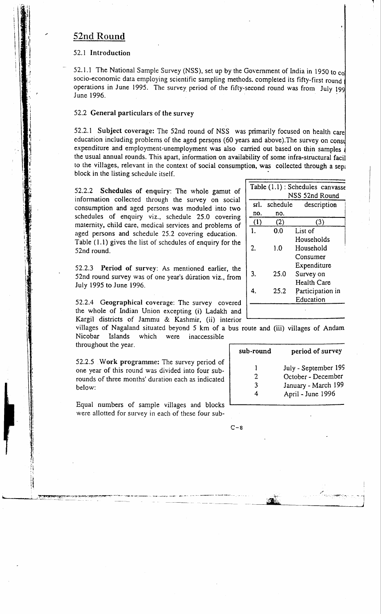# 52nd Round

### 52.1 Introduction

52.1.1 The National Sample Survey (NSS), set up by the Government of India in 1950 to co socio-economic data employing scientific sampling methods, completed its fifty-first round operations in June 1995. The survey period of the fifty-second round was from July 199 June 1996.

## 52.2 General particulars of the survey

52.2.1 Subject coverage: The 52nd round of NSS was primarily focused on health care education including problems of the aged persons (60 years and above). The survey on consul expenditure and employment-unemployment was also carried out based on thin samples the usual annual rounds. This apart, information on availability of some infra-structural facil to the villages, relevant in the context of social consumption, was collected through a sent block in the listing schedule itself.

52.2.2 Schedules of enquiry: The whole gamut of information collected through the survey on social consumption and aged persons was moduled into two schedules of enquiry viz., schedule 25.0 covering maternity, child care, medical services and problems of aged persons and schedule 25.2 covering education. Table (1.1) gives the list of schedules of enquiry for the 52nd round.

52.2.3 Period of survey: As mentioned earlier, the 52nd round survey was of one year's duration viz., from July 1995 to June 1996.

52.2.4 Geographical coverage: The survey covered the whole of Indian Union excepting (i) Ladakh and Kargil districts of Jammu & Kashmir, (ii) interior

villages of Nagaland situated beyond 5 km of a bus route and (iii) villages of Andam Nicobar Islands which were inaccessible throughout the year.

52.2.5 Work programme: The survey period of one year of this round was divided into four subrounds of three months' duration each as indicated helow:

Equal numbers of sample villages and blocks were allotted for survey in each of these four sub-

| NSS 52nd Round<br>schedule<br>srl.<br>description<br>nо.<br>no.<br>(1)<br>(2)<br>(3)<br>0.0<br>List of<br>$\mathbf{I}$<br>Households | Table (1.1) : Schedules canvasse |  |  |  |  |  |  |  |
|--------------------------------------------------------------------------------------------------------------------------------------|----------------------------------|--|--|--|--|--|--|--|
|                                                                                                                                      |                                  |  |  |  |  |  |  |  |
|                                                                                                                                      |                                  |  |  |  |  |  |  |  |
|                                                                                                                                      |                                  |  |  |  |  |  |  |  |
|                                                                                                                                      |                                  |  |  |  |  |  |  |  |
|                                                                                                                                      |                                  |  |  |  |  |  |  |  |
|                                                                                                                                      |                                  |  |  |  |  |  |  |  |
| 2.<br>1.0<br>Household                                                                                                               |                                  |  |  |  |  |  |  |  |
| Consumer                                                                                                                             |                                  |  |  |  |  |  |  |  |
| Expenditure                                                                                                                          |                                  |  |  |  |  |  |  |  |
| 3.<br>25.0<br>Survey on                                                                                                              |                                  |  |  |  |  |  |  |  |
| <b>Health Care</b>                                                                                                                   |                                  |  |  |  |  |  |  |  |
| 25.2<br>Participation in                                                                                                             |                                  |  |  |  |  |  |  |  |
| Education                                                                                                                            |                                  |  |  |  |  |  |  |  |
|                                                                                                                                      |                                  |  |  |  |  |  |  |  |

| sub-round   | period of survey                                                                       |
|-------------|----------------------------------------------------------------------------------------|
| 1<br>2<br>٦ | July - September 199<br>October - December<br>January - March 199<br>April - June 1996 |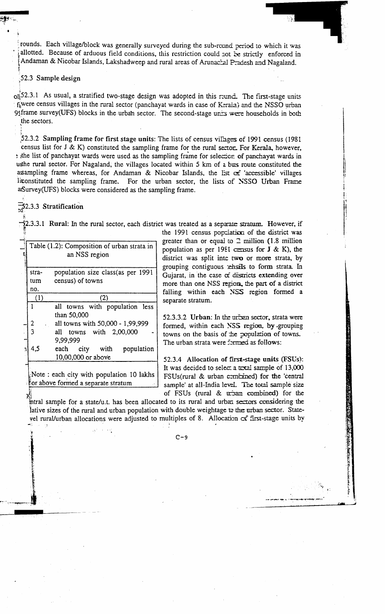rounds. Each village/block was generally surveyed during the sub-round period to which it was allotted. Because of arduous field conditions, this restriction could not be strictly enforced in Andaman & Nicobar Islands, Lakshadweep and rural areas of Arunacial Pradesh and Nagaland.

#### 52.3 Sample design

 $\frac{1}{2}$ [52.3.1 As usual, a stratified two-stage design was adopted in this reund. The first-stage units fiwere census villages in the rural sector (panchayat wards in case of Kerala) and the NSSO urban of frame survey(UFS) blocks in the urban sector. The second-stage units were households in both the sectors.

52.3.2 Sampling frame for first stage units: The lists of census villages of 1991 census (1981) census list for  $J \& K$ ) constituted the sampling frame for the rural sector. For Kerala, however, the list of panchayat wards were used as the sampling frame for selection of panchayat wards in unthe rural sector. For Nagaland, the villages located within 5 km of a bus route constituted the assampling frame whereas, for Andaman & Nicobar Islands, the Est of 'accessible' villages For the urban sector, the lists of NSSO Urban Frame liconstituted the sampling frame. afsurvey (UFS) blocks were considered as the sampling frame.

 $\overline{5}$ 2.3.3 Stratification

 $\bar{2}$ 2.3.3.1 Rural: In the rural sector, each district was treated as a separate stratum. However, if

|              | population size class(as per 1991<br>stra- |                                  |  |  |  |  |  |
|--------------|--------------------------------------------|----------------------------------|--|--|--|--|--|
|              | census) of towns<br>tum                    |                                  |  |  |  |  |  |
|              | no.                                        |                                  |  |  |  |  |  |
|              | (1)<br>(2)                                 |                                  |  |  |  |  |  |
|              | all towns with population less             |                                  |  |  |  |  |  |
|              |                                            | than 50,000                      |  |  |  |  |  |
|              | 2                                          | all towns with 50,000 - 1,99,999 |  |  |  |  |  |
|              |                                            | all towns with 2,00,000          |  |  |  |  |  |
|              |                                            | 9,99,999                         |  |  |  |  |  |
| $\mathbf{a}$ | 4,5                                        | city with population<br>each     |  |  |  |  |  |
|              |                                            | 10,00,000 or above               |  |  |  |  |  |

the 1991 census population of the district was greater than or equal to  $\supseteq$  million (1.8 million population as per 1981 census for  $J \& K$ ), the district was split inte two or more strata, by grouping contiguous rehsels to form strata. In Gujarat, in the case  $\alpha$  districts extending over more than one NSS region, the part of a district falling within each NSS region formed a separate stratum.

52.3.3.2 Urban: In the urban sector, strata were formed, within each NSS region, by grouping towns on the basis of the population of towns. The urban strata were formed as follows:

52.3.4 Allocation of first-stage units (FSUs): It was decided to select a total sample of 13,000 FSUs(rural & urban combined) for the 'central sample' at all-India level. The total sample size of FSUs (rural & urban combined) for the

intral sample for a state/u.t. has been allocated to its rural and urban sectors considering the lative sizes of the rural and urban population with double weightage to the urban sector. Stateyel rural/urban allocations were adjusted to multiples of 8. Allocation cf first-stage units by

 $C-9$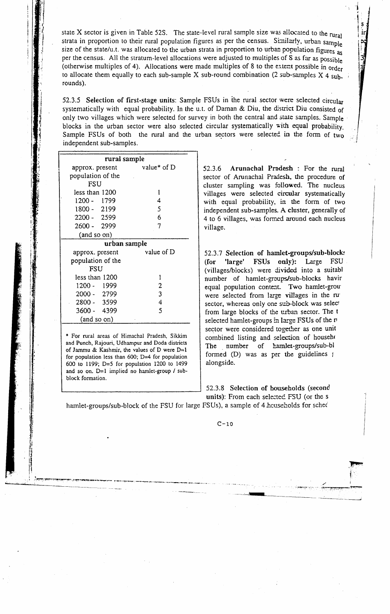state X sector is given in Table 52S. The state-level rural sample size was allocated to the rural strata in proportion to their rural population figures as per the census. Similarly, urban sample size of the state/u.t. was allocated to the urban strata in proportion to urban population figures as per the census. All the stratum-level allocations were adjusted to multiples of S as far as possible (otherwise multiples of 4). Allocations were made multiples of 8 to the extent possible in order to allocate them equally to each sub-sample X sub-round combination (2 sub-samples  $X$  4 subrounds).

52.3.5 Selection of first-stage units: Sample FSUs in the rural sector were selected circular systematically with equal probability. In the u.t. of Daman & Diu, the district Diu consisted of only two villages which were selected for survey in both the central and state samples. Sample blocks in the urban sector were also selected circular systematically with equal probability Sample FSUs of both the rural and the urban sectors were selected in the form of two independent sub-samples.

| rural sample      |                |  |  |  |  |  |
|-------------------|----------------|--|--|--|--|--|
| approx. present   | value* of $D$  |  |  |  |  |  |
| population of the |                |  |  |  |  |  |
| FSU               |                |  |  |  |  |  |
| less than 1200    | 1              |  |  |  |  |  |
| 1200 - 1799       | 4              |  |  |  |  |  |
| 1800 - 2199       | 5              |  |  |  |  |  |
| 2200 - 2599       | 6              |  |  |  |  |  |
| 2600 - 2999       | 7              |  |  |  |  |  |
| (and so on)       |                |  |  |  |  |  |
| urban sample      |                |  |  |  |  |  |
| approx. present   | value of D     |  |  |  |  |  |
| population of the |                |  |  |  |  |  |
| FSU               |                |  |  |  |  |  |
| less than 1200    | 1              |  |  |  |  |  |
| 1200 - 1999       | $\overline{2}$ |  |  |  |  |  |
| 2000 - 2799       | 3              |  |  |  |  |  |
| 2800 - 3599       | 4              |  |  |  |  |  |
| 3600 - 4399       | 5              |  |  |  |  |  |
| (and so on)       |                |  |  |  |  |  |

\* For rural areas of Himachal Pradesh, Sikkim and Punch, Rajouri, Udhampur and Doda districts of Jammu & Kashmir, the values of D were  $D=1$ for population less than  $600$ ; D=4 for population 600 to 1199; D=5 for population 1200 to 1499 and so on.  $D=1$  implied no hamlet-group / subblock formation.

52.3.6 Arunachal Pradesh : For the rural sector of Arunachal Praiesh, the procedure of cluster sampling was followed. The nucleus villages were selected circular systematically with equal probability, in the form of two independent sub-samples. A cluster, generally of 4 to 6 villages, was formed around each nucleus village.

52.3.7 Selection of hamlet-groups/sub-blocks **FSUs**  $only$ : Large **FSU** 'large' (for (villages/blocks) were divided into a suitabl number of hamlet-groups/sub-blocks havir equal population content. Two hamlet-grou were selected from large villages in the ru sector, whereas only one sub-block was select from large blocks of the urban sector. The t selected hamlet-groups in large FSUs of the n sector were considered together as one unit combined listing and selection of househo The number of hamlet-groups/sub-bl formed (D) was as per the guidelines ( alongside.

52.3.8 Selection of households (second units): From each selected FSU (or the s

hamlet-groups/sub-block of the FSU for large FSUs), a sample of 4 heuseholds for sched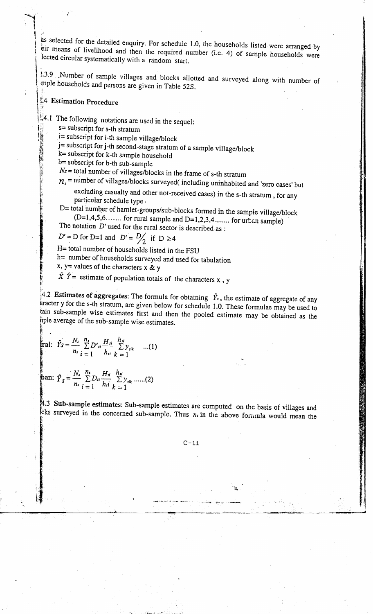as selected for the detailed enquiry. For schedule 1.0, the households listed were arranged by  $\frac{1}{2}$  eir means of livelihood and then the required number (i.e. 4) of sample households in  $\cdots$  $\frac{1}{2}$  lected circular systematically with a random start.

1.3.9 Number of sample villages and blocks allotted and surveyed along with number of mple households and persons are given in Table 52S.

# \ t4 Estimation Procedure

 $\mid$  :

**SERVER AND PROPERTY AND RELEASED PROPERTY** 

ii

,.

 $1.4.1$  The following notations are used in the sequel:

s= subscript for s-th stratum

 $i=$  subscript for i-th sample village/block

j= subscript for j-th second-stage stratum of a sample village/block

 $k$  = subscript for k-th sample household

b= subscript for b-th sub-sample

 $Ns$  = total number of villages/blocks in the frame of s-th stratum

 $n<sub>s</sub>$  = number of villages/blocks surveyed( including uninhabited and 'zero cases' but

excluding casualty and other not-received cases) in the s-th stratum, for any  $\frac{3}{2}$  particular schedule type.  $\frac{3}{2}$  particular schedule type.

D= total number of hamlet-groups/sub-blocks formed in the sample village/block  $(D=1,4,5,6...$  for rural sample and  $D=1,2,3,4...$  for urban sample) The notation  $D'$  used for the rural sector is described as :

 $D' = D$  for D=1 and  $D' = D'_{2}$  if  $D \ge 4$ 

H= total number of households listed in the FSU

h= number of households surveyed and used for tabulation

x, y= values of the characters x & y

 $\hat{X} \hat{Y}$  = estimate of population totals of the characters x  $\hat{X}$ 

 $\frac{1}{4}$ .2 Estimates of aggregates: The formula for obtaining  $\hat{Y}_r$ , the estimate of aggregate of any aracter y for the s-th stratum, are given below for schedule 1.0. These formulae may be used to tajn sub-sample wise estimates first and then the pooled estimate may be obtajned as the bple average of the sub-sample wise estimates. !

$$
\text{real:} \quad \hat{Y}_{\mathcal{S}} = \frac{N_s}{n_s} \sum_{i=1}^{n_s} D'_{si} \frac{H_{si}}{h_{si}} \sum_{k=1}^{h_{si}} y_{jik} \quad \dots (1)
$$

,. .

$$
\text{ban: } \hat{Y}_S = \frac{N_s}{n_s} \sum_{i=1}^{n_s} D_{si} \frac{H_{si}}{h_{si}} \sum_{k=1}^{h_{si}} y_{sik} \dots (2)
$$

4.3 Sub-sample estimates: Sub-sample estimates are computed on the basis of villages and cks surveyed in the concerned sub-sample. Thus  $n_i$  in the above formula would mean the

 $\mathcal{L}^{\mathcal{L}}$ 

i : Son between the contract of the contract of the contract of the contract of the contract of the contract o , and the contract of the contract of the contract of the contract of the contract of the contract of the contract of the contract of the contract of the contract of the contract of the contract of the contract of the con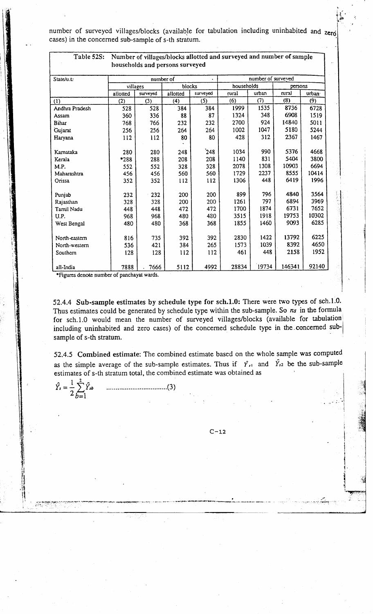number of surveyed villages/blocks (available for tabulation including uninhabited and zero cases) in the concerned sub-sample of s-th stratum.

| Table 52S:     | Number of villages/blocks allotted and surveyed and number of sample |                                 |          |                       |                    |       |        |                    |
|----------------|----------------------------------------------------------------------|---------------------------------|----------|-----------------------|--------------------|-------|--------|--------------------|
|                |                                                                      | households and persons surveyed |          |                       |                    |       |        |                    |
| State/u.t.     | number of                                                            |                                 |          |                       | number of surveyed |       |        |                    |
|                | blocks<br>villages                                                   |                                 |          | households<br>persons |                    |       |        |                    |
|                | allotted                                                             | surveyed                        | allotted | surveyed              | rural              | urban | rural  | urban <sup>.</sup> |
| (1)            | (2)                                                                  | (3)                             | (4)      | (5)                   | (6)                | (7)   | (8)    | (9)                |
|                |                                                                      |                                 |          | 384                   | 1999               | 1535  | 8736   | 6728               |
| Andhra Pradesh | 528                                                                  | 528                             | 384      |                       |                    |       | 6908   |                    |
| Assam          | 360                                                                  | 336                             | 88       | 87                    | 1324               | 348   |        | 1519               |
| <b>Bihar</b>   | 768                                                                  | 766                             | 232      | 232                   | 2700               | 924   | 14840  | 5011               |
| Gujarat        | 256                                                                  | 256                             | 264      | 264                   | 1002               | 1047  | 5180   | 5244               |
| Haryana        | 112                                                                  | 112                             | 80       | 80                    | 428                | 312   | 2367   | 1467               |
|                |                                                                      |                                 |          |                       |                    |       |        |                    |
| Kamataka       | 280                                                                  | 280                             | 248      | 248                   | 1034               | 990   | 5376   | 4668               |
| Kerala         | *288                                                                 | 288                             | 208      | 208                   | 1140               | 831   | 5404   | 3800               |
| M.P.           | 552                                                                  | 552                             | 328      | 328                   | 2078               | 1308  | 10903  | 6694               |
| Maharashtra    | 456                                                                  | 456                             | 560      | 560                   | 1729               | 2237  | 8555   | 10414              |
| Orissa         | 352                                                                  | 352                             | 112      | 112                   | 1306               | 448   | 6419   | 1996               |
|                |                                                                      |                                 |          |                       |                    |       |        |                    |
| Punjab         | 232                                                                  | 232                             | 200      | 200                   | 899                | 796   | 4840   | 3564               |
| Rajasthan      | 328                                                                  | 328                             | 200      | 200                   | 1261               | 797   | 6894   | 3969               |
| Tamil Nadu     | 448                                                                  | 448                             | 472      | 472                   | 1700               | 1874  | 6731   | 7652               |
| U.P.           | 968                                                                  | 968                             | 480      | 480                   | 3515               | 1918  | 19753  | 10302              |
| West Bengal    | 480                                                                  | 480                             | 368      | 368                   | 1855               | 1460  | 9093   | 6285               |
|                |                                                                      |                                 |          |                       |                    |       |        |                    |
| North-eastern  | 816                                                                  | 735                             | 392      | 392                   | 2830               | 1422  | 13792  | 6225               |
| North-western  | 536                                                                  | 421                             | 384      | 265                   | 1573               | 1039  | 8392   | 4650               |
| Southern       | 128                                                                  | 128                             | 112      | 112                   | 461                | 448   | 2158   | 1952               |
|                |                                                                      |                                 |          |                       |                    |       |        |                    |
| all-India      | 7888                                                                 | 7666                            | 5112     | 4992                  | 28834              | 19734 | 146341 | 92140              |

\*Figures denote number of panchayat wards.

52.4.4 Sub-sample estimates by schedule type for sch.1.0: There were two types of sch.1.0 Thus estimates could be generated by schedule type within the sub-sample. So  $n<sub>s</sub>$  in the formula for sch.1.0 would mean the number of surveyed villages/blocks (available for tabulation including uninhabited and zero cases) of the concerned schedule type in the concerned sub sample of s-th stratum.

52.4.5 Combined estimate: The combined estimate based on the whole sample was compute as the simple average of the sub-sample estimates. Thus if  $\hat{Y}_{t1}$  and  $\hat{Y}_{t2}$  be the sub-sampl estimates of s-th stratum total, the combined estimate was obtained as

$$
\hat{Y}_s = \frac{1}{2} \sum_{b=1}^{2} \hat{Y}_{sb} \qquad \qquad (3)
$$